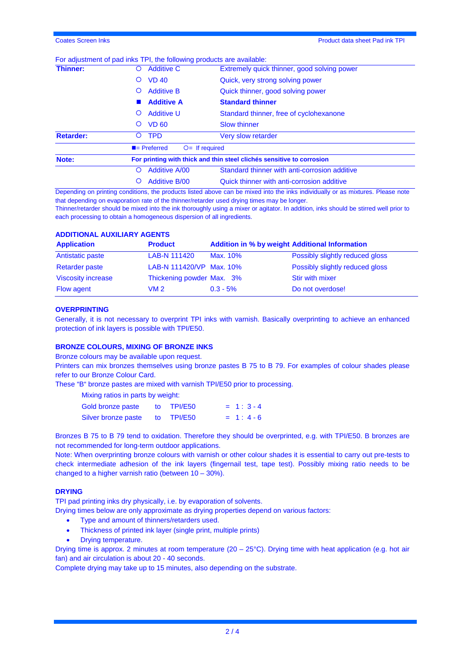# For adjustment of pad inks TPI, the following products are available:

| Thinner:         | <b>Additive C</b><br>Ő                                                | Extremely quick thinner, good solving power<br>Quick, very strong solving power<br>Quick thinner, good solving power |  |  |
|------------------|-----------------------------------------------------------------------|----------------------------------------------------------------------------------------------------------------------|--|--|
|                  | <b>VD 40</b><br>Ő                                                     |                                                                                                                      |  |  |
|                  | <b>Additive B</b><br>Ő                                                |                                                                                                                      |  |  |
|                  | <b>Additive A</b>                                                     | <b>Standard thinner</b>                                                                                              |  |  |
|                  | <b>Additive U</b><br>Ő                                                | Standard thinner, free of cyclohexanone                                                                              |  |  |
|                  | <b>VD 60</b><br>Ő                                                     | <b>Slow thinner</b>                                                                                                  |  |  |
| <b>Retarder:</b> | <b>TPD</b><br>O                                                       | <b>Very slow retarder</b>                                                                                            |  |  |
|                  | $\blacksquare$ Preferred                                              | $O=$ If required                                                                                                     |  |  |
| Note:            | For printing with thick and thin steel clichés sensitive to corrosion |                                                                                                                      |  |  |
|                  | <b>Additive A/00</b><br>O                                             | Standard thinner with anti-corrosion additive                                                                        |  |  |
|                  | <b>Additive B/00</b>                                                  | Quick thinner with anti-corrosion additive                                                                           |  |  |

Depending on printing conditions, the products listed above can be mixed into the inks individually or as mixtures. Please note that depending on evaporation rate of the thinner/retarder used drying times may be longer.

Thinner/retarder should be mixed into the ink thoroughly using a mixer or agitator. In addition, inks should be stirred well prior to each processing to obtain a homogeneous dispersion of all ingredients.

# **ADDITIONAL AUXILIARY AGENTS**

| <b>Application</b>        | <b>Product</b>            | <b>Addition in % by weight Additional Information</b> |                                 |
|---------------------------|---------------------------|-------------------------------------------------------|---------------------------------|
| Antistatic paste          | LAB-N 111420              | Max. 10%                                              | Possibly slightly reduced gloss |
| <b>Retarder paste</b>     | LAB-N 111420/VP Max. 10%  |                                                       | Possibly slightly reduced gloss |
| <b>Viscosity increase</b> | Thickening powder Max. 3% |                                                       | <b>Stir with mixer</b>          |
| <b>Flow agent</b>         | VM 2.                     | $0.3 - 5\%$                                           | Do not overdose!                |

# **OVERPRINTING**

Generally, it is not necessary to overprint TPI inks with varnish. Basically overprinting to achieve an enhanced protection of ink layers is possible with TPI/E50.

# **BRONZE COLOURS, MIXING OF BRONZE INKS**

Bronze colours may be available upon request.

Printers can mix bronzes themselves using bronze pastes B 75 to B 79. For examples of colour shades please refer to our Bronze Colour Card.

These "B" bronze pastes are mixed with varnish TPI/E50 prior to processing.

| Mixing ratios in parts by weight: |  |            |            |  |  |  |
|-----------------------------------|--|------------|------------|--|--|--|
| Gold bronze paste                 |  | to TPI/E50 | $= 1:3-4$  |  |  |  |
| Silver bronze paste               |  | to TPI/E50 | $= 1: 4-6$ |  |  |  |

Bronzes B 75 to B 79 tend to oxidation. Therefore they should be overprinted, e.g. with TPI/E50. B bronzes are not recommended for long-term outdoor applications.

Note: When overprinting bronze colours with varnish or other colour shades it is essential to carry out pre-tests to check intermediate adhesion of the ink layers (fingernail test, tape test). Possibly mixing ratio needs to be changed to a higher varnish ratio (between 10 – 30%).

# **DRYING**

TPI pad printing inks dry physically, i.e. by evaporation of solvents.

Drying times below are only approximate as drying properties depend on various factors:

- Type and amount of thinners/retarders used.
- Thickness of printed ink layer (single print, multiple prints)
- Drying temperature.

Drying time is approx. 2 minutes at room temperature (20 – 25°C). Drying time with heat application (e.g. hot air fan) and air circulation is about 20 - 40 seconds.

Complete drying may take up to 15 minutes, also depending on the substrate.